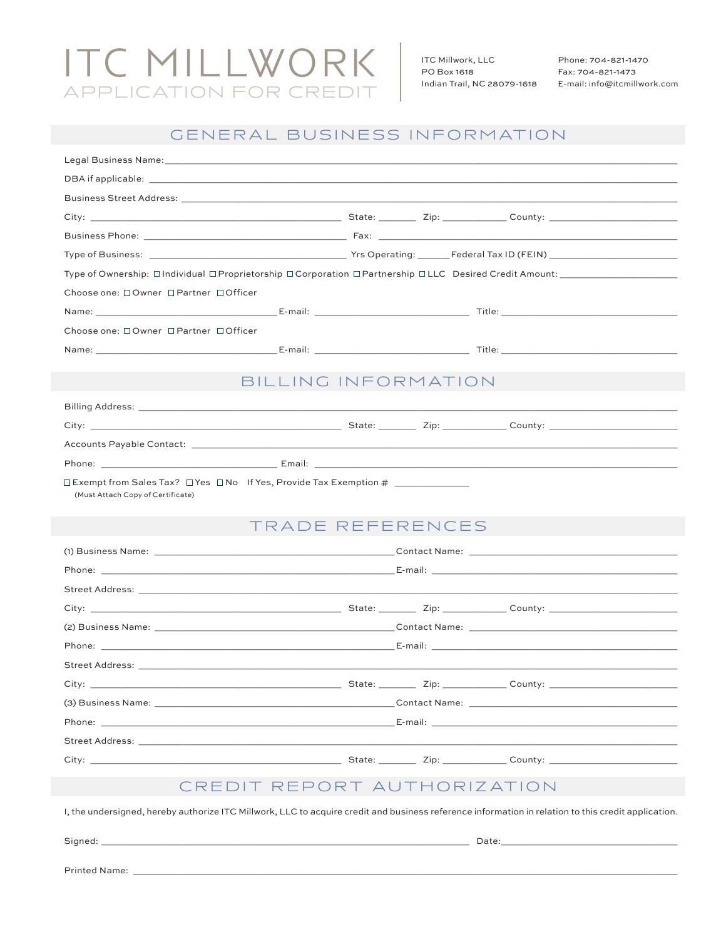# **ITC MILLWORK** APPLICATION FOR CREDIT

ITC Millwork, LLC PO Box 1618 Indian Trail, NC 28079-1618

Phone: 704-821-1470 Fax: 704-821-1473 E-mail: info@itcmillwork.com

## GENERAL BUSINESS INFORMATION

| Choose one: □Owner □Partner □Officer                                                                                                                                                                                           |                     |                                                                                                                                                                                                                                |  |                                                                                                                                                                                                                                      |  |  |  |  |
|--------------------------------------------------------------------------------------------------------------------------------------------------------------------------------------------------------------------------------|---------------------|--------------------------------------------------------------------------------------------------------------------------------------------------------------------------------------------------------------------------------|--|--------------------------------------------------------------------------------------------------------------------------------------------------------------------------------------------------------------------------------------|--|--|--|--|
|                                                                                                                                                                                                                                |                     |                                                                                                                                                                                                                                |  |                                                                                                                                                                                                                                      |  |  |  |  |
| Choose one: □Owner □Partner □Officer                                                                                                                                                                                           |                     |                                                                                                                                                                                                                                |  |                                                                                                                                                                                                                                      |  |  |  |  |
|                                                                                                                                                                                                                                |                     |                                                                                                                                                                                                                                |  |                                                                                                                                                                                                                                      |  |  |  |  |
|                                                                                                                                                                                                                                |                     |                                                                                                                                                                                                                                |  |                                                                                                                                                                                                                                      |  |  |  |  |
|                                                                                                                                                                                                                                | BILLING INFORMATION |                                                                                                                                                                                                                                |  |                                                                                                                                                                                                                                      |  |  |  |  |
|                                                                                                                                                                                                                                |                     |                                                                                                                                                                                                                                |  |                                                                                                                                                                                                                                      |  |  |  |  |
|                                                                                                                                                                                                                                |                     |                                                                                                                                                                                                                                |  |                                                                                                                                                                                                                                      |  |  |  |  |
|                                                                                                                                                                                                                                |                     |                                                                                                                                                                                                                                |  |                                                                                                                                                                                                                                      |  |  |  |  |
|                                                                                                                                                                                                                                |                     |                                                                                                                                                                                                                                |  |                                                                                                                                                                                                                                      |  |  |  |  |
|                                                                                                                                                                                                                                |                     |                                                                                                                                                                                                                                |  |                                                                                                                                                                                                                                      |  |  |  |  |
| (Must Attach Copy of Certificate)                                                                                                                                                                                              |                     |                                                                                                                                                                                                                                |  |                                                                                                                                                                                                                                      |  |  |  |  |
|                                                                                                                                                                                                                                | TRADE REFERENCES    |                                                                                                                                                                                                                                |  |                                                                                                                                                                                                                                      |  |  |  |  |
|                                                                                                                                                                                                                                |                     |                                                                                                                                                                                                                                |  |                                                                                                                                                                                                                                      |  |  |  |  |
|                                                                                                                                                                                                                                |                     | Phone: E-mail: E-mail: E-mail: E-mail: E-mail: E-mail: E-mail: E-mail: E-mail: E-mail: E-mail: E-mail: E-mail: E-mail: E-mail: E-mail: E-mail: E-mail: E-mail: E-mail: E-mail: E-mail: E-mail: E-mail: E-mail: E-mail: E-mail: |  |                                                                                                                                                                                                                                      |  |  |  |  |
|                                                                                                                                                                                                                                |                     |                                                                                                                                                                                                                                |  |                                                                                                                                                                                                                                      |  |  |  |  |
| City:                                                                                                                                                                                                                          |                     |                                                                                                                                                                                                                                |  | <b>Example 2018</b> State: <u>Country: County: County: County: 21p</u>                                                                                                                                                               |  |  |  |  |
|                                                                                                                                                                                                                                |                     |                                                                                                                                                                                                                                |  |                                                                                                                                                                                                                                      |  |  |  |  |
|                                                                                                                                                                                                                                |                     |                                                                                                                                                                                                                                |  |                                                                                                                                                                                                                                      |  |  |  |  |
|                                                                                                                                                                                                                                |                     |                                                                                                                                                                                                                                |  |                                                                                                                                                                                                                                      |  |  |  |  |
| $City:$ $\_$                                                                                                                                                                                                                   |                     |                                                                                                                                                                                                                                |  | <u>between the company of the company of the company of the company of the company of the company of the company of the company of the company of the company of the company of the company of the company of the company of the</u> |  |  |  |  |
|                                                                                                                                                                                                                                |                     |                                                                                                                                                                                                                                |  |                                                                                                                                                                                                                                      |  |  |  |  |
|                                                                                                                                                                                                                                |                     |                                                                                                                                                                                                                                |  |                                                                                                                                                                                                                                      |  |  |  |  |
| Street Address: the contract of the contract of the contract of the contract of the contract of the contract of the contract of the contract of the contract of the contract of the contract of the contract of the contract o |                     |                                                                                                                                                                                                                                |  |                                                                                                                                                                                                                                      |  |  |  |  |
|                                                                                                                                                                                                                                |                     |                                                                                                                                                                                                                                |  |                                                                                                                                                                                                                                      |  |  |  |  |
|                                                                                                                                                                                                                                |                     |                                                                                                                                                                                                                                |  |                                                                                                                                                                                                                                      |  |  |  |  |
| CREDIT REPORT AUTHORIZATION                                                                                                                                                                                                    |                     |                                                                                                                                                                                                                                |  |                                                                                                                                                                                                                                      |  |  |  |  |
| I, the undersigned, hereby authorize ITC Millwork, LLC to acquire credit and business reference information in relation to this credit application.                                                                            |                     |                                                                                                                                                                                                                                |  |                                                                                                                                                                                                                                      |  |  |  |  |

Signed: \_

 $\overline{\phantom{a}}$  Date:

Printed Name: \_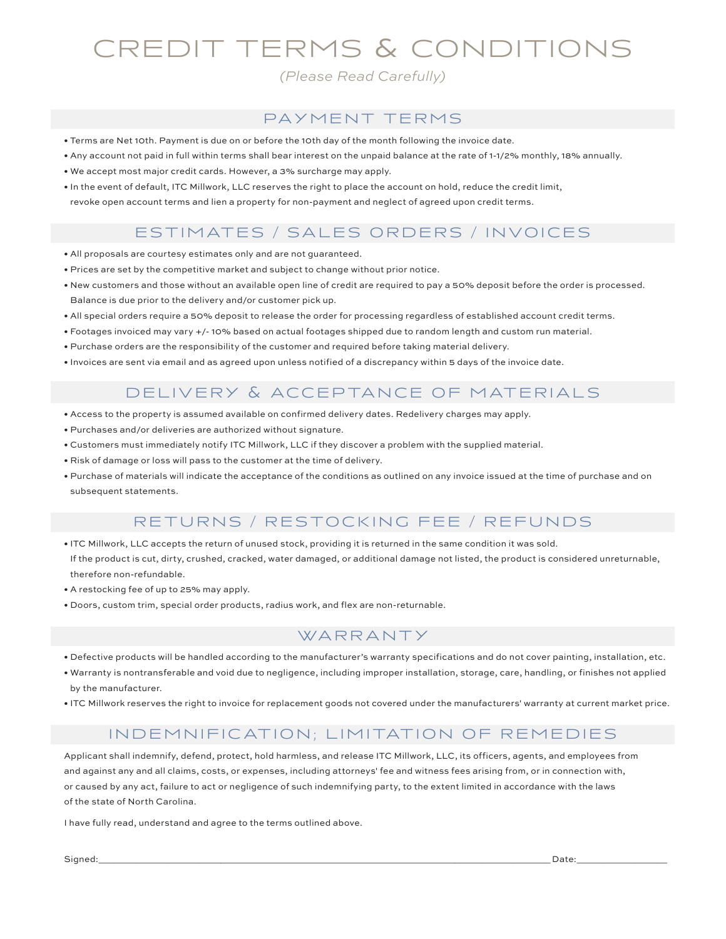## CREDIT TERMS & CONDITIONS

*(Please Read Carefully)*

#### PAYMENT TERMS

- Terms are Net 10th. Payment is due on or before the 10th day of the month following the invoice date.
- Any account not paid in full within terms shall bear interest on the unpaid balance at the rate of 1-1/2% monthly, 18% annually.
- We accept most major credit cards. However, a 3% surcharge may apply.
- In the event of default, ITC Millwork, LLC reserves the right to place the account on hold, reduce the credit limit, revoke open account terms and lien a property for non-payment and neglect of agreed upon credit terms.

### ESTIMATES / SALES ORDERS / INVOICES

- All proposals are courtesy estimates only and are not guaranteed.
- Prices are set by the competitive market and subject to change without prior notice.
- New customers and those without an available open line of credit are required to pay a 50% deposit before the order is processed. Balance is due prior to the delivery and/or customer pick up.
- All special orders require a 50% deposit to release the order for processing regardless of established account credit terms.
- Footages invoiced may vary +/- 10% based on actual footages shipped due to random length and custom run material.
- Purchase orders are the responsibility of the customer and required before taking material delivery.
- Invoices are sent via email and as agreed upon unless notified of a discrepancy within 5 days of the invoice date.

#### DELIVERY & ACCEPTANCE OF MATERIALS

- Access to the property is assumed available on confirmed delivery dates. Redelivery charges may apply.
- Purchases and/or deliveries are authorized without signature.
- Customers must immediately notify ITC Millwork, LLC if they discover a problem with the supplied material.
- Risk of damage or loss will pass to the customer at the time of delivery.
- Purchase of materials will indicate the acceptance of the conditions as outlined on any invoice issued at the time of purchase and on subsequent statements.

#### RETURNS / RESTOCKING FEE / REFUNDS

- ITC Millwork, LLC accepts the return of unused stock, providing it is returned in the same condition it was sold. If the product is cut, dirty, crushed, cracked, water damaged, or additional damage not listed, the product is considered unreturnable, therefore non-refundable.
- A restocking fee of up to 25% may apply.
- Doors, custom trim, special order products, radius work, and flex are non-returnable.

#### **WARRANTY**

- Defective products will be handled according to the manufacturer's warranty specifications and do not cover painting, installation, etc.
- Warranty is nontransferable and void due to negligence, including improper installation, storage, care, handling, or finishes not applied by the manufacturer.
- ITC Millwork reserves the right to invoice for replacement goods not covered under the manufacturers' warranty at current market price.

#### IN DEMNIFICATION; LIMITATION OF REMEDIES

Applicant shall indemnify, defend, protect, hold harmless, and release ITC Millwork, LLC, its officers, agents, and employees from and against any and all claims, costs, or expenses, including attorneys' fee and witness fees arising from, or in connection with, or caused by any act, failure to act or negligence of such indemnifying party, to the extent limited in accordance with the laws of the state of North Carolina.

I have fully read, understand and agree to the terms outlined above.